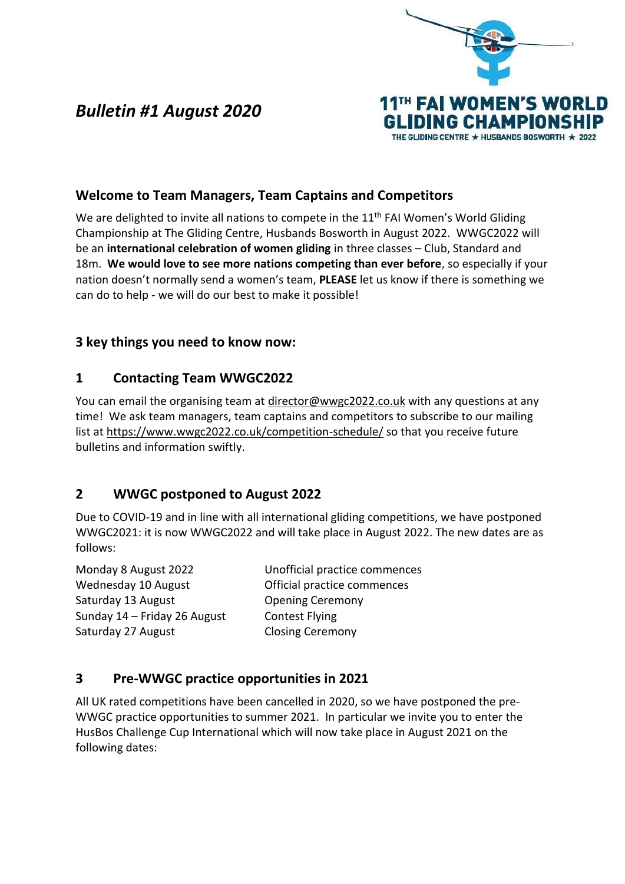

# *Bulletin #1 August 2020*

# **Welcome to Team Managers, Team Captains and Competitors**

We are delighted to invite all nations to compete in the  $11<sup>th</sup>$  FAI Women's World Gliding Championship at The Gliding Centre, Husbands Bosworth in August 2022. WWGC2022 will be an **international celebration of women gliding** in three classes – Club, Standard and 18m. **We would love to see more nations competing than ever before**, so especially if your nation doesn't normally send a women's team, **PLEASE** let us know if there is something we can do to help - we will do our best to make it possible!

### **3 key things you need to know now:**

### **1 Contacting Team WWGC2022**

You can email the organising team at [director@wwgc2022.co.uk](mailto:director@wwgc2022.co.uk) with any questions at any time! We ask team managers, team captains and competitors to subscribe to our mailing list at<https://www.wwgc2022.co.uk/competition-schedule/> so that you receive future bulletins and information swiftly.

# **2 WWGC postponed to August 2022**

Due to COVID-19 and in line with all international gliding competitions, we have postponed WWGC2021: it is now WWGC2022 and will take place in August 2022. The new dates are as follows:

Wednesday 10 August **Official practice commences** Saturday 13 August **CERN CONCILITY** Opening Ceremony Sunday 14 – Friday 26 August Contest Flying Saturday 27 August Closing Ceremony

Monday 8 August 2022 Unofficial practice commences

# **3 Pre-WWGC practice opportunities in 2021**

All UK rated competitions have been cancelled in 2020, so we have postponed the pre-WWGC practice opportunities to summer 2021. In particular we invite you to enter the HusBos Challenge Cup International which will now take place in August 2021 on the following dates: